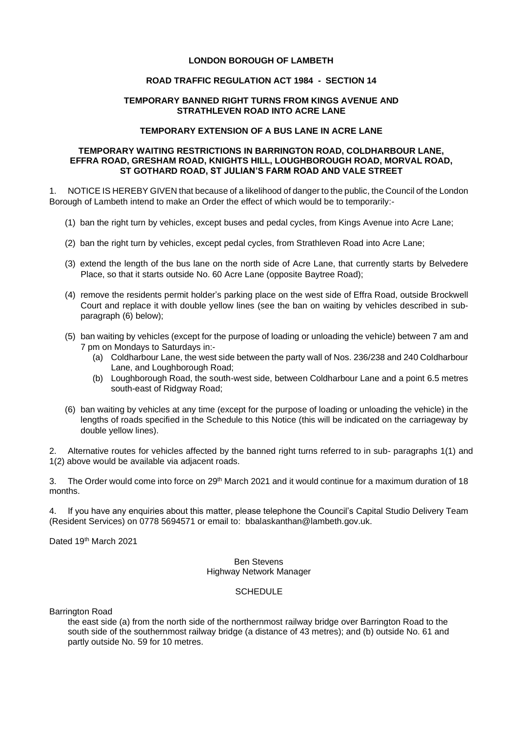## **LONDON BOROUGH OF LAMBETH**

## **ROAD TRAFFIC REGULATION ACT 1984 - SECTION 14**

## **TEMPORARY BANNED RIGHT TURNS FROM KINGS AVENUE AND STRATHLEVEN ROAD INTO ACRE LANE**

### **TEMPORARY EXTENSION OF A BUS LANE IN ACRE LANE**

#### **TEMPORARY WAITING RESTRICTIONS IN BARRINGTON ROAD, COLDHARBOUR LANE, EFFRA ROAD, GRESHAM ROAD, KNIGHTS HILL, LOUGHBOROUGH ROAD, MORVAL ROAD, ST GOTHARD ROAD, ST JULIAN'S FARM ROAD AND VALE STREET**

1. NOTICE IS HEREBY GIVEN that because of a likelihood of danger to the public, the Council of the London Borough of Lambeth intend to make an Order the effect of which would be to temporarily:-

- (1) ban the right turn by vehicles, except buses and pedal cycles, from Kings Avenue into Acre Lane;
- (2) ban the right turn by vehicles, except pedal cycles, from Strathleven Road into Acre Lane;
- (3) extend the length of the bus lane on the north side of Acre Lane, that currently starts by Belvedere Place, so that it starts outside No. 60 Acre Lane (opposite Baytree Road);
- (4) remove the residents permit holder's parking place on the west side of Effra Road, outside Brockwell Court and replace it with double yellow lines (see the ban on waiting by vehicles described in subparagraph (6) below);
- (5) ban waiting by vehicles (except for the purpose of loading or unloading the vehicle) between 7 am and 7 pm on Mondays to Saturdays in:-
	- (a) Coldharbour Lane, the west side between the party wall of Nos. 236/238 and 240 Coldharbour Lane, and Loughborough Road;
	- (b) Loughborough Road, the south-west side, between Coldharbour Lane and a point 6.5 metres south-east of Ridgway Road;
- (6) ban waiting by vehicles at any time (except for the purpose of loading or unloading the vehicle) in the lengths of roads specified in the Schedule to this Notice (this will be indicated on the carriageway by double yellow lines).

2. Alternative routes for vehicles affected by the banned right turns referred to in sub- paragraphs 1(1) and 1(2) above would be available via adjacent roads.

3. The Order would come into force on 29<sup>th</sup> March 2021 and it would continue for a maximum duration of 18 months.

4. If you have any enquiries about this matter, please telephone the Council's Capital Studio Delivery Team (Resident Services) on 0778 5694571 or email to: [bbalaskanthan@lambeth.gov.uk.](mailto:bbalaskanthan@lambeth.gov.uk)

Dated 19th March 2021

#### Ben Stevens Highway Network Manager

# **SCHEDULE**

Barrington Road

the east side (a) from the north side of the northernmost railway bridge over Barrington Road to the south side of the southernmost railway bridge (a distance of 43 metres); and (b) outside No. 61 and partly outside No. 59 for 10 metres.